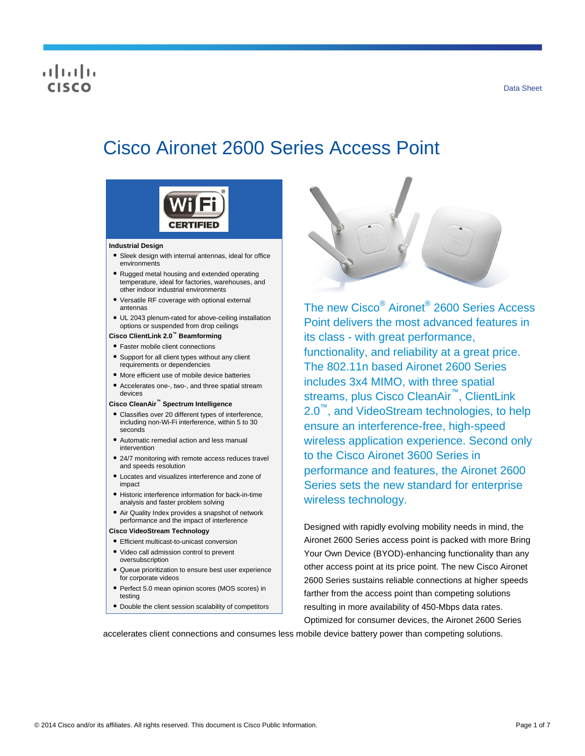## $\frac{1}{2}$ CISCO

# Cisco Aironet 2600 Series Access Point



#### **Industrial Design**

- Sleek design with internal antennas, ideal for office environments
- Rugged metal housing and extended operating temperature, ideal for factories, warehouses, and other indoor industrial environments
- Versatile RF coverage with optional external antennas
- UL 2043 plenum-rated for above-ceiling installation options or suspended from drop ceilings

#### **Cisco ClientLink 2.0™ Beamforming**

- Faster mobile client connections
- Support for all client types without any client requirements or dependencies
- More efficient use of mobile device batteries
- Accelerates one-, two-, and three spatial stream devices

#### **Cisco CleanAir™ Spectrum Intelligence**

- Classifies over 20 different types of interference, including non-Wi-Fi interference, within 5 to 30 seconds
- Automatic remedial action and less manual intervention
- 24/7 monitoring with remote access reduces travel and speeds resolution
- Locates and visualizes interference and zone of impact
- Historic interference information for back-in-time analysis and faster problem solving
- Air Quality Index provides a snapshot of network performance and the impact of interference

#### **Cisco VideoStream Technology**

- Efficient multicast-to-unicast conversion
- Video call admission control to prevent oversubscription
- Queue prioritization to ensure best user experience for corporate videos
- Perfect 5.0 mean opinion scores (MOS scores) in testing
- Double the client session scalability of competitors



The new Cisco® Aironet® 2600 Series Access Point delivers the most advanced features in its class - with great performance, functionality, and reliability at a great price. The 802.11n based Aironet 2600 Series includes 3x4 MIMO, with three spatial streams, plus Cisco CleanAir™, ClientLink 2.0™, and VideoStream technologies, to help ensure an interference-free, high-speed wireless application experience. Second only to the Cisco Aironet 3600 Series in performance and features, the Aironet 2600 Series sets the new standard for enterprise wireless technology.

Designed with rapidly evolving mobility needs in mind, the Aironet 2600 Series access point is packed with more Bring Your Own Device (BYOD)-enhancing functionality than any other access point at its price point. The new Cisco Aironet 2600 Series sustains reliable connections at higher speeds farther from the access point than competing solutions resulting in more availability of 450-Mbps data rates. Optimized for consumer devices, the Aironet 2600 Series

accelerates client connections and consumes less mobile device battery power than competing solutions.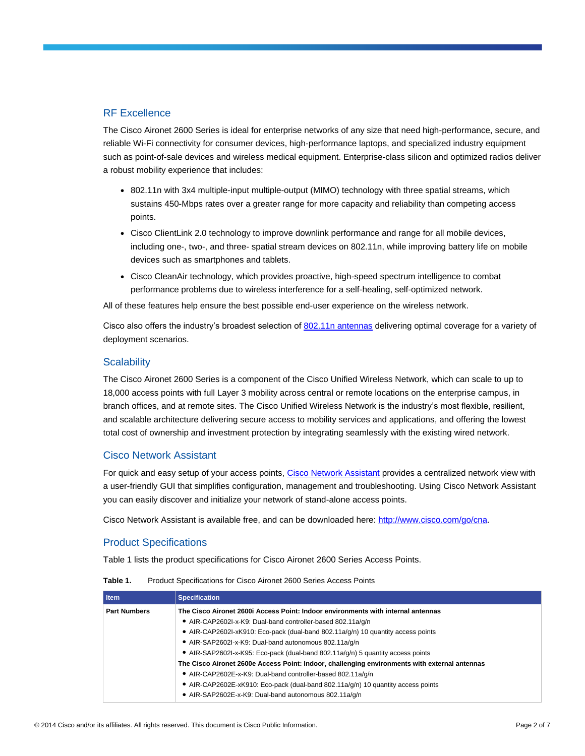## RF Excellence

The Cisco Aironet 2600 Series is ideal for enterprise networks of any size that need high-performance, secure, and reliable Wi-Fi connectivity for consumer devices, high-performance laptops, and specialized industry equipment such as point-of-sale devices and wireless medical equipment. Enterprise-class silicon and optimized radios deliver a robust mobility experience that includes:

- 802.11n with 3x4 multiple-input multiple-output (MIMO) technology with three spatial streams, which sustains 450-Mbps rates over a greater range for more capacity and reliability than competing access points.
- Cisco ClientLink 2.0 technology to improve downlink performance and range for all mobile devices, including one-, two-, and three- spatial stream devices on 802.11n, while improving battery life on mobile devices such as smartphones and tablets.
- Cisco CleanAir technology, which provides proactive, high-speed spectrum intelligence to combat performance problems due to wireless interference for a self-healing, self-optimized network.

All of these features help ensure the best possible end-user experience on the wireless network.

Cisco also offers the industry's broadest selection of [802.11n antennas](http://www.cisco.com/en/US/prod/collateral/wireless/ps7183/ps469/at_a_glance_c45-513837.pdf) delivering optimal coverage for a variety of deployment scenarios.

#### **Scalability**

The Cisco Aironet 2600 Series is a component of the Cisco Unified Wireless Network, which can scale to up to 18,000 access points with full Layer 3 mobility across central or remote locations on the enterprise campus, in branch offices, and at remote sites. The Cisco Unified Wireless Network is the industry's most flexible, resilient, and scalable architecture delivering secure access to mobility services and applications, and offering the lowest total cost of ownership and investment protection by integrating seamlessly with the existing wired network.

#### Cisco Network Assistant

For quick and easy setup of your access points[, Cisco Network Assistant](http://www.cisco.com/go/cna) provides a centralized network view with a user-friendly GUI that simplifies configuration, management and troubleshooting. Using Cisco Network Assistant you can easily discover and initialize your network of stand-alone access points.

Cisco Network Assistant is available free, and can be downloaded here: [http://www.cisco.com/go/cna.](http://www.cisco.com/go/cna)

### Product Specifications

Table 1 lists the product specifications for Cisco Aironet 2600 Series Access Points.

| I Item              | <b>Specification</b>                                                                          |
|---------------------|-----------------------------------------------------------------------------------------------|
| <b>Part Numbers</b> | The Cisco Aironet 2600i Access Point: Indoor environments with internal antennas              |
|                     | • AIR-CAP2602I-x-K9: Dual-band controller-based 802.11a/g/n                                   |
|                     | • AIR-CAP2602I-xK910: Eco-pack (dual-band 802.11a/q/n) 10 quantity access points              |
|                     | • AIR-SAP2602I-x-K9: Dual-band autonomous 802.11a/g/n                                         |
|                     | • AIR-SAP2602I-x-K95: Eco-pack (dual-band 802.11a/q/n) 5 quantity access points               |
|                     | The Cisco Aironet 2600e Access Point: Indoor, challenging environments with external antennas |
|                     | • AIR-CAP2602E-x-K9: Dual-band controller-based 802.11a/q/n                                   |
|                     | • AIR-CAP2602E-xK910: Eco-pack (dual-band 802.11a/q/n) 10 quantity access points              |
|                     | • AIR-SAP2602E-x-K9: Dual-band autonomous 802.11a/g/n                                         |

**Table 1.** Product Specifications for Cisco Aironet 2600 Series Access Points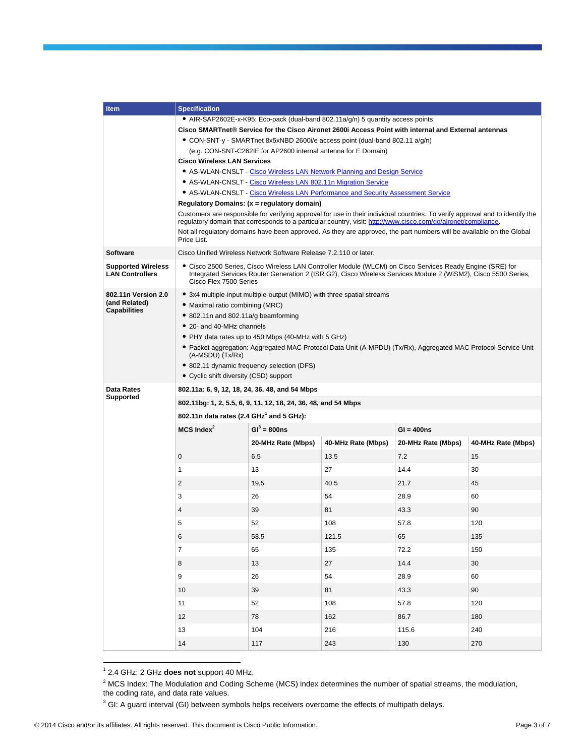| <b>Item</b>                                                 | <b>Specification</b>                                                                                                                                                                                                                                                                                                                                                                                                                                               |                                                                   |                    |                    |                    |  |
|-------------------------------------------------------------|--------------------------------------------------------------------------------------------------------------------------------------------------------------------------------------------------------------------------------------------------------------------------------------------------------------------------------------------------------------------------------------------------------------------------------------------------------------------|-------------------------------------------------------------------|--------------------|--------------------|--------------------|--|
|                                                             | • AIR-SAP2602E-x-K95: Eco-pack (dual-band 802.11a/g/n) 5 quantity access points                                                                                                                                                                                                                                                                                                                                                                                    |                                                                   |                    |                    |                    |  |
|                                                             | Cisco SMARTnet® Service for the Cisco Aironet 2600i Access Point with internal and External antennas<br>• CON-SNT-y - SMARTnet 8x5xNBD 2600i/e access point (dual-band 802.11 a/g/n)<br>(e.g. CON-SNT-C262IE for AP2600 internal antenna for E Domain)<br><b>Cisco Wireless LAN Services</b>                                                                                                                                                                       |                                                                   |                    |                    |                    |  |
|                                                             |                                                                                                                                                                                                                                                                                                                                                                                                                                                                    |                                                                   |                    |                    |                    |  |
|                                                             |                                                                                                                                                                                                                                                                                                                                                                                                                                                                    |                                                                   |                    |                    |                    |  |
|                                                             |                                                                                                                                                                                                                                                                                                                                                                                                                                                                    |                                                                   |                    |                    |                    |  |
|                                                             | • AS-WLAN-CNSLT - Cisco Wireless LAN Network Planning and Design Service                                                                                                                                                                                                                                                                                                                                                                                           |                                                                   |                    |                    |                    |  |
|                                                             | • AS-WLAN-CNSLT - Cisco Wireless LAN 802.11n Migration Service<br>• AS-WLAN-CNSLT - Cisco Wireless LAN Performance and Security Assessment Service                                                                                                                                                                                                                                                                                                                 |                                                                   |                    |                    |                    |  |
|                                                             | Regulatory Domains: (x = regulatory domain)                                                                                                                                                                                                                                                                                                                                                                                                                        |                                                                   |                    |                    |                    |  |
|                                                             | Customers are responsible for verifying approval for use in their individual countries. To verify approval and to identify the<br>regulatory domain that corresponds to a particular country, visit: http://www.cisco.com/go/aironet/compliance                                                                                                                                                                                                                    |                                                                   |                    |                    |                    |  |
|                                                             | Not all regulatory domains have been approved. As they are approved, the part numbers will be available on the Global<br>Price List.                                                                                                                                                                                                                                                                                                                               |                                                                   |                    |                    |                    |  |
| <b>Software</b>                                             |                                                                                                                                                                                                                                                                                                                                                                                                                                                                    | Cisco Unified Wireless Network Software Release 7.2.110 or later. |                    |                    |                    |  |
| <b>Supported Wireless</b><br><b>LAN Controllers</b>         | • Cisco 2500 Series, Cisco Wireless LAN Controller Module (WLCM) on Cisco Services Ready Engine (SRE) for<br>Integrated Services Router Generation 2 (ISR G2), Cisco Wireless Services Module 2 (WiSM2), Cisco 5500 Series,<br>Cisco Flex 7500 Series                                                                                                                                                                                                              |                                                                   |                    |                    |                    |  |
| 802.11n Version 2.0<br>(and Related)<br><b>Capabilities</b> | • 3x4 multiple-input multiple-output (MIMO) with three spatial streams<br>• Maximal ratio combining (MRC)<br>• 802.11n and 802.11a/g beamforming<br>• 20- and 40-MHz channels<br>• PHY data rates up to 450 Mbps (40-MHz with 5 GHz)<br>• Packet aggregation: Aggregated MAC Protocol Data Unit (A-MPDU) (Tx/Rx), Aggregated MAC Protocol Service Unit<br>(A-MSDU) (Tx/Rx)<br>• 802.11 dynamic frequency selection (DFS)<br>• Cyclic shift diversity (CSD) support |                                                                   |                    |                    |                    |  |
| <b>Data Rates</b>                                           | 802.11a: 6, 9, 12, 18, 24, 36, 48, and 54 Mbps                                                                                                                                                                                                                                                                                                                                                                                                                     |                                                                   |                    |                    |                    |  |
| Supported                                                   | 802.11bg: 1, 2, 5.5, 6, 9, 11, 12, 18, 24, 36, 48, and 54 Mbps                                                                                                                                                                                                                                                                                                                                                                                                     |                                                                   |                    |                    |                    |  |
|                                                             |                                                                                                                                                                                                                                                                                                                                                                                                                                                                    |                                                                   |                    |                    |                    |  |
|                                                             | 802.11n data rates (2.4 GHz <sup>1</sup> and 5 GHz):                                                                                                                                                                                                                                                                                                                                                                                                               |                                                                   |                    |                    |                    |  |
|                                                             | $MCS$ Index $^2$                                                                                                                                                                                                                                                                                                                                                                                                                                                   | $GI^3 = 800ns$                                                    |                    | $GI = 400ns$       |                    |  |
|                                                             |                                                                                                                                                                                                                                                                                                                                                                                                                                                                    | 20-MHz Rate (Mbps)                                                | 40-MHz Rate (Mbps) | 20-MHz Rate (Mbps) | 40-MHz Rate (Mbps) |  |
|                                                             | 0                                                                                                                                                                                                                                                                                                                                                                                                                                                                  | 6.5                                                               | 13.5               | 7.2                | 15                 |  |
|                                                             | 1                                                                                                                                                                                                                                                                                                                                                                                                                                                                  | 13                                                                | 27                 | 14.4               | 30                 |  |
|                                                             | 2                                                                                                                                                                                                                                                                                                                                                                                                                                                                  | 19.5                                                              | 40.5               | 21.7               | 45                 |  |
|                                                             | 3                                                                                                                                                                                                                                                                                                                                                                                                                                                                  | 26                                                                | 54                 | 28.9               | 60                 |  |
|                                                             | 4                                                                                                                                                                                                                                                                                                                                                                                                                                                                  | 39                                                                | 81                 | 43.3               | 90                 |  |
|                                                             | 5                                                                                                                                                                                                                                                                                                                                                                                                                                                                  | 52                                                                | 108                | 57.8               | 120                |  |
|                                                             | 6                                                                                                                                                                                                                                                                                                                                                                                                                                                                  | 58.5                                                              | 121.5              | 65                 | 135                |  |
|                                                             |                                                                                                                                                                                                                                                                                                                                                                                                                                                                    |                                                                   |                    |                    |                    |  |
|                                                             | 7                                                                                                                                                                                                                                                                                                                                                                                                                                                                  | 65                                                                | 135                | 72.2               | 150                |  |
|                                                             | 8                                                                                                                                                                                                                                                                                                                                                                                                                                                                  | 13                                                                | 27                 | 14.4               | 30                 |  |
|                                                             | 9                                                                                                                                                                                                                                                                                                                                                                                                                                                                  | 26                                                                | 54                 | 28.9               | 60                 |  |
|                                                             | 10                                                                                                                                                                                                                                                                                                                                                                                                                                                                 | 39                                                                | 81                 | 43.3               | 90                 |  |
|                                                             | 11                                                                                                                                                                                                                                                                                                                                                                                                                                                                 | 52                                                                | 108                | 57.8               | 120                |  |
|                                                             | 12                                                                                                                                                                                                                                                                                                                                                                                                                                                                 | 78                                                                | 162                | 86.7               | 180                |  |
|                                                             | 13                                                                                                                                                                                                                                                                                                                                                                                                                                                                 | 104                                                               | 216                | 115.6              | 240                |  |
|                                                             | 14                                                                                                                                                                                                                                                                                                                                                                                                                                                                 | 117                                                               | 243                | 130                | 270                |  |
|                                                             |                                                                                                                                                                                                                                                                                                                                                                                                                                                                    |                                                                   |                    |                    |                    |  |

 1 2.4 GHz: 2 GHz **does not** support 40 MHz.

 $^2$  MCS Index: The Modulation and Coding Scheme (MCS) index determines the number of spatial streams, the modulation, the coding rate, and data rate values.

 $3$  GI: A guard interval (GI) between symbols helps receivers overcome the effects of multipath delays.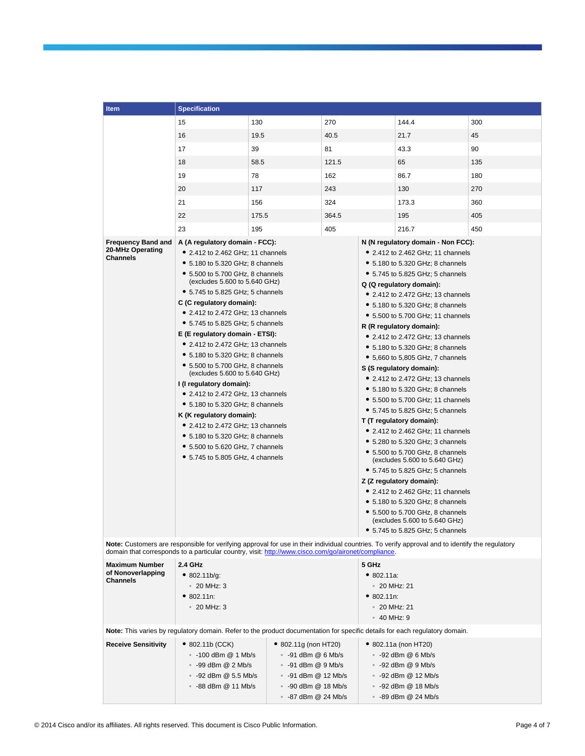| <b>Item</b>                                                                                                                                                                                                                                                                              | <b>Specification</b>                                                                                                                                                                                                                                                                                                                                                                                                                                                                                                                                                                                                                                                                                                                                                                                         |                                                                                                                                                         |                                                                                                                                                                                                                                                                                                                                                                                                                                                                                                                                                                                                                                                                                                                                                                                                                                                                                                                                                                                                          |  |                                                                                                                                                                     |     |
|------------------------------------------------------------------------------------------------------------------------------------------------------------------------------------------------------------------------------------------------------------------------------------------|--------------------------------------------------------------------------------------------------------------------------------------------------------------------------------------------------------------------------------------------------------------------------------------------------------------------------------------------------------------------------------------------------------------------------------------------------------------------------------------------------------------------------------------------------------------------------------------------------------------------------------------------------------------------------------------------------------------------------------------------------------------------------------------------------------------|---------------------------------------------------------------------------------------------------------------------------------------------------------|----------------------------------------------------------------------------------------------------------------------------------------------------------------------------------------------------------------------------------------------------------------------------------------------------------------------------------------------------------------------------------------------------------------------------------------------------------------------------------------------------------------------------------------------------------------------------------------------------------------------------------------------------------------------------------------------------------------------------------------------------------------------------------------------------------------------------------------------------------------------------------------------------------------------------------------------------------------------------------------------------------|--|---------------------------------------------------------------------------------------------------------------------------------------------------------------------|-----|
|                                                                                                                                                                                                                                                                                          | 15                                                                                                                                                                                                                                                                                                                                                                                                                                                                                                                                                                                                                                                                                                                                                                                                           | 130                                                                                                                                                     | 270                                                                                                                                                                                                                                                                                                                                                                                                                                                                                                                                                                                                                                                                                                                                                                                                                                                                                                                                                                                                      |  | 144.4                                                                                                                                                               | 300 |
|                                                                                                                                                                                                                                                                                          | 16                                                                                                                                                                                                                                                                                                                                                                                                                                                                                                                                                                                                                                                                                                                                                                                                           | 19.5                                                                                                                                                    | 40.5                                                                                                                                                                                                                                                                                                                                                                                                                                                                                                                                                                                                                                                                                                                                                                                                                                                                                                                                                                                                     |  | 21.7                                                                                                                                                                | 45  |
|                                                                                                                                                                                                                                                                                          | 17                                                                                                                                                                                                                                                                                                                                                                                                                                                                                                                                                                                                                                                                                                                                                                                                           | 39                                                                                                                                                      | 81                                                                                                                                                                                                                                                                                                                                                                                                                                                                                                                                                                                                                                                                                                                                                                                                                                                                                                                                                                                                       |  | 43.3                                                                                                                                                                | 90  |
|                                                                                                                                                                                                                                                                                          | 18                                                                                                                                                                                                                                                                                                                                                                                                                                                                                                                                                                                                                                                                                                                                                                                                           | 58.5                                                                                                                                                    | 121.5                                                                                                                                                                                                                                                                                                                                                                                                                                                                                                                                                                                                                                                                                                                                                                                                                                                                                                                                                                                                    |  | 65                                                                                                                                                                  | 135 |
|                                                                                                                                                                                                                                                                                          | 19                                                                                                                                                                                                                                                                                                                                                                                                                                                                                                                                                                                                                                                                                                                                                                                                           | 78                                                                                                                                                      | 162                                                                                                                                                                                                                                                                                                                                                                                                                                                                                                                                                                                                                                                                                                                                                                                                                                                                                                                                                                                                      |  | 86.7                                                                                                                                                                | 180 |
|                                                                                                                                                                                                                                                                                          | 20                                                                                                                                                                                                                                                                                                                                                                                                                                                                                                                                                                                                                                                                                                                                                                                                           | 117                                                                                                                                                     | 243                                                                                                                                                                                                                                                                                                                                                                                                                                                                                                                                                                                                                                                                                                                                                                                                                                                                                                                                                                                                      |  | 130                                                                                                                                                                 | 270 |
|                                                                                                                                                                                                                                                                                          | 21                                                                                                                                                                                                                                                                                                                                                                                                                                                                                                                                                                                                                                                                                                                                                                                                           | 156                                                                                                                                                     | 324                                                                                                                                                                                                                                                                                                                                                                                                                                                                                                                                                                                                                                                                                                                                                                                                                                                                                                                                                                                                      |  | 173.3                                                                                                                                                               | 360 |
|                                                                                                                                                                                                                                                                                          | 22                                                                                                                                                                                                                                                                                                                                                                                                                                                                                                                                                                                                                                                                                                                                                                                                           | 175.5                                                                                                                                                   | 364.5                                                                                                                                                                                                                                                                                                                                                                                                                                                                                                                                                                                                                                                                                                                                                                                                                                                                                                                                                                                                    |  | 195                                                                                                                                                                 | 405 |
|                                                                                                                                                                                                                                                                                          |                                                                                                                                                                                                                                                                                                                                                                                                                                                                                                                                                                                                                                                                                                                                                                                                              |                                                                                                                                                         |                                                                                                                                                                                                                                                                                                                                                                                                                                                                                                                                                                                                                                                                                                                                                                                                                                                                                                                                                                                                          |  |                                                                                                                                                                     | 450 |
| <b>Frequency Band and</b>                                                                                                                                                                                                                                                                |                                                                                                                                                                                                                                                                                                                                                                                                                                                                                                                                                                                                                                                                                                                                                                                                              |                                                                                                                                                         |                                                                                                                                                                                                                                                                                                                                                                                                                                                                                                                                                                                                                                                                                                                                                                                                                                                                                                                                                                                                          |  | 216.7                                                                                                                                                               |     |
| 20-MHz Operating<br><b>Channels</b>                                                                                                                                                                                                                                                      | 23<br>195<br>405<br>A (A regulatory domain - FCC):<br>• 2.412 to 2.462 GHz; 11 channels<br>• 5.180 to 5.320 GHz; 8 channels<br>• 5.500 to 5.700 GHz, 8 channels<br>(excludes 5.600 to 5.640 GHz)<br>• 5.745 to 5.825 GHz; 5 channels<br>C (C regulatory domain):<br>• 2.412 to 2.472 GHz; 13 channels<br>• 5.745 to 5.825 GHz; 5 channels<br>E (E regulatory domain - ETSI):<br>• 2.412 to 2.472 GHz; 13 channels<br>• 5.180 to 5.320 GHz; 8 channels<br>• 5.500 to 5.700 GHz, 8 channels<br>(excludes 5.600 to 5.640 GHz)<br>I (I regulatory domain):<br>• 2.412 to 2.472 GHz, 13 channels<br>• 5.180 to 5.320 GHz; 8 channels<br>K (K regulatory domain):<br>• 2.412 to 2.472 GHz; 13 channels<br>• 5.180 to 5.320 GHz; 8 channels<br>• 5.500 to 5.620 GHz, 7 channels<br>• 5.745 to 5.805 GHz, 4 channels |                                                                                                                                                         | N (N regulatory domain - Non FCC):<br>• 2.412 to 2.462 GHz; 11 channels<br>• 5.180 to 5.320 GHz; 8 channels<br>• 5.745 to 5.825 GHz; 5 channels<br>Q (Q regulatory domain):<br>• 2.412 to 2.472 GHz; 13 channels<br>• 5.180 to 5.320 GHz; 8 channels<br>• 5.500 to 5.700 GHz; 11 channels<br>R (R regulatory domain):<br>• 2.412 to 2.472 GHz; 13 channels<br>• 5.180 to 5.320 GHz; 8 channels<br>• 5,660 to 5,805 GHz, 7 channels<br>S (S regulatory domain):<br>• 2.412 to 2.472 GHz; 13 channels<br>• 5.180 to 5.320 GHz; 8 channels<br>• 5.500 to 5.700 GHz; 11 channels<br>• 5.745 to 5.825 GHz; 5 channels<br>T (T regulatory domain):<br>• 2.412 to 2.462 GHz; 11 channels<br>• 5.280 to 5.320 GHz; 3 channels<br>• 5.500 to 5.700 GHz, 8 channels<br>(excludes 5.600 to 5.640 GHz)<br>• 5.745 to 5.825 GHz; 5 channels<br>Z (Z regulatory domain):<br>• 2.412 to 2.462 GHz; 11 channels<br>• 5.180 to 5.320 GHz; 8 channels<br>• 5.500 to 5.700 GHz, 8 channels<br>(excludes 5.600 to 5.640 GHz) |  |                                                                                                                                                                     |     |
| 5.745 to 5.825 GHz; 5 channels<br>Note: Customers are responsible for verifying approval for use in their individual countries. To verify approval and to identify the regulatory<br>domain that corresponds to a particular country, visit: http://www.cisco.com/go/aironet/compliance. |                                                                                                                                                                                                                                                                                                                                                                                                                                                                                                                                                                                                                                                                                                                                                                                                              |                                                                                                                                                         |                                                                                                                                                                                                                                                                                                                                                                                                                                                                                                                                                                                                                                                                                                                                                                                                                                                                                                                                                                                                          |  |                                                                                                                                                                     |     |
| <b>Maximum Number</b><br>of Nonoverlapping<br><b>Channels</b>                                                                                                                                                                                                                            | 2.4 GHz<br>• 802.11b/g:<br>$\degree$ 20 MHz: 3<br>• 802.11n:<br>$\degree$ 20 MHz: 3                                                                                                                                                                                                                                                                                                                                                                                                                                                                                                                                                                                                                                                                                                                          |                                                                                                                                                         | 5 GHz<br>• 802.11a.<br>$\degree$ 20 MHz: 21<br>• 802.11n:<br>$\degree$ 20 MHz: 21<br>$\degree$ 40 MHz: 9                                                                                                                                                                                                                                                                                                                                                                                                                                                                                                                                                                                                                                                                                                                                                                                                                                                                                                 |  |                                                                                                                                                                     |     |
|                                                                                                                                                                                                                                                                                          | Note: This varies by regulatory domain. Refer to the product documentation for specific details for each regulatory domain.                                                                                                                                                                                                                                                                                                                                                                                                                                                                                                                                                                                                                                                                                  |                                                                                                                                                         |                                                                                                                                                                                                                                                                                                                                                                                                                                                                                                                                                                                                                                                                                                                                                                                                                                                                                                                                                                                                          |  |                                                                                                                                                                     |     |
| <b>Receive Sensitivity</b>                                                                                                                                                                                                                                                               | • 802.11b (CCK)<br>$\cdot$ -100 dBm @ 1 Mb/s<br>$\cdot$ -99 dBm @ 2 Mb/s<br>$\cdot$ -92 dBm @ 5.5 Mb/s<br>∘ -88 dBm @ 11 Mb/s                                                                                                                                                                                                                                                                                                                                                                                                                                                                                                                                                                                                                                                                                | • 802.11g (non HT20)<br>$\cdot$ -91 dBm @ 6 Mb/s<br>$\cdot$ -91 dBm @ 9 Mb/s<br>• -91 dBm @ 12 Mb/s<br>$\cdot$ -90 dBm @ 18 Mb/s<br>∘ -87 dBm @ 24 Mb/s |                                                                                                                                                                                                                                                                                                                                                                                                                                                                                                                                                                                                                                                                                                                                                                                                                                                                                                                                                                                                          |  | • 802.11a (non HT20)<br>$\cdot$ -92 dBm @ 6 Mb/s<br>$\cdot$ -92 dBm @ 9 Mb/s<br>$\cdot$ -92 dBm @ 12 Mb/s<br>$\cdot$ -92 dBm @ 18 Mb/s<br>$\cdot$ -89 dBm @ 24 Mb/s |     |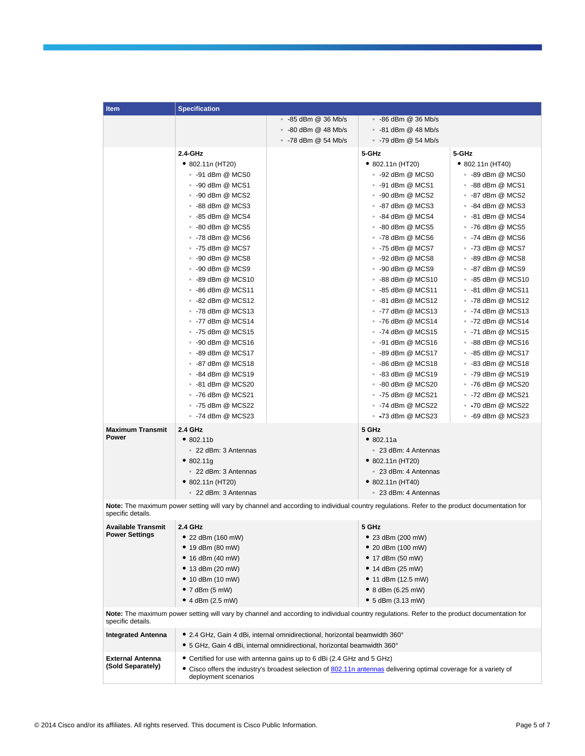| ltem                                                                                                                                                              | <b>Specification</b>                                                                                                                         |                                                                                                                                                        |                                                                                                                   |                            |
|-------------------------------------------------------------------------------------------------------------------------------------------------------------------|----------------------------------------------------------------------------------------------------------------------------------------------|--------------------------------------------------------------------------------------------------------------------------------------------------------|-------------------------------------------------------------------------------------------------------------------|----------------------------|
|                                                                                                                                                                   |                                                                                                                                              | $\cdot$ -85 dBm @ 36 Mb/s                                                                                                                              | $\cdot$ -86 dBm @ 36 Mb/s                                                                                         |                            |
|                                                                                                                                                                   |                                                                                                                                              | $\cdot$ -80 dBm @ 48 Mb/s                                                                                                                              | $\cdot$ -81 dBm @ 48 Mb/s                                                                                         |                            |
|                                                                                                                                                                   |                                                                                                                                              | ∘ -78 dBm @ 54 Mb/s                                                                                                                                    | ∘ -79 dBm @ 54 Mb/s                                                                                               |                            |
|                                                                                                                                                                   | 2.4-GHz                                                                                                                                      |                                                                                                                                                        | 5-GHz                                                                                                             | 5-GHz                      |
|                                                                                                                                                                   | $\bullet$ 802.11n (HT20)                                                                                                                     |                                                                                                                                                        | • 802.11n (HT20)                                                                                                  | • 802.11n (HT40)           |
|                                                                                                                                                                   | $\cdot$ -91 dBm @ MCS0                                                                                                                       |                                                                                                                                                        | $\cdot$ -92 dBm @ MCS0                                                                                            | ∘ -89 dBm @ MCS0           |
|                                                                                                                                                                   | $\cdot$ -90 dBm @ MCS1                                                                                                                       |                                                                                                                                                        | $\degree$ -91 dBm @ MCS1                                                                                          | ∘ -88 dBm @ MCS1           |
|                                                                                                                                                                   | $\cdot$ -90 dBm @ MCS2                                                                                                                       |                                                                                                                                                        | $\cdot$ -90 dBm @ MCS2                                                                                            | $\cdot$ -87 dBm @ MCS2     |
|                                                                                                                                                                   | $\cdot$ -88 dBm @ MCS3                                                                                                                       |                                                                                                                                                        | $\cdot$ -87 dBm @ MCS3                                                                                            | $\degree$ -84 dBm @ MCS3   |
|                                                                                                                                                                   | $\cdot$ -85 dBm @ MCS4                                                                                                                       |                                                                                                                                                        | $\degree$ -84 dBm @ MCS4                                                                                          | ∘ -81 dBm @ MCS4           |
|                                                                                                                                                                   | $\cdot$ -80 dBm @ MCS5                                                                                                                       |                                                                                                                                                        | $\cdot$ -80 dBm @ MCS5                                                                                            | $\degree$ -76 dBm @ MCS5   |
|                                                                                                                                                                   | $\cdot$ -78 dBm @ MCS6                                                                                                                       |                                                                                                                                                        | $\cdot$ -78 dBm @ MCS6                                                                                            | $\,\circ\,$ -74 dBm @ MCS6 |
|                                                                                                                                                                   | $\degree$ -75 dBm @ MCS7                                                                                                                     |                                                                                                                                                        | $\cdot$ -75 dBm @ MCS7                                                                                            | ∘ -73 dBm @ MCS7           |
|                                                                                                                                                                   | $\cdot$ -90 dBm @ MCS8                                                                                                                       |                                                                                                                                                        | $\cdot$ -92 dBm @ MCS8                                                                                            | $\cdot$ -89 dBm @ MCS8     |
|                                                                                                                                                                   | $\cdot$ -90 dBm @ MCS9                                                                                                                       |                                                                                                                                                        | $\cdot$ -90 dBm @ MCS9                                                                                            | $\degree$ -87 dBm @ MCS9   |
|                                                                                                                                                                   | $\cdot$ -89 dBm @ MCS10                                                                                                                      |                                                                                                                                                        | $\cdot$ -88 dBm @ MCS10                                                                                           | ∘ -85 dBm @ MCS10          |
|                                                                                                                                                                   | $\cdot$ -86 dBm @ MCS11                                                                                                                      |                                                                                                                                                        | ∘ -85 dBm @ MCS11                                                                                                 | ∘ -81 dBm @ MCS11          |
|                                                                                                                                                                   | $\cdot$ -82 dBm @ MCS12                                                                                                                      |                                                                                                                                                        | $\cdot$ -81 dBm @ MCS12                                                                                           | $\degree$ -78 dBm @ MCS12  |
|                                                                                                                                                                   | • -78 dBm @ MCS13                                                                                                                            |                                                                                                                                                        | $\cdot$ -77 dBm @ MCS13                                                                                           | $\cdot$ -74 dBm @ MCS13    |
|                                                                                                                                                                   | $\degree$ -77 dBm @ MCS14                                                                                                                    |                                                                                                                                                        | $\cdot$ -76 dBm @ MCS14                                                                                           | $\degree$ -72 dBm @ MCS14  |
|                                                                                                                                                                   | $\cdot$ -75 dBm @ MCS15                                                                                                                      |                                                                                                                                                        | $\cdot$ -74 dBm @ MCS15                                                                                           | ∘ -71 dBm @ MCS15          |
|                                                                                                                                                                   | $\cdot$ -90 dBm @ MCS16                                                                                                                      |                                                                                                                                                        | $\cdot$ -91 dBm @ MCS16                                                                                           | ∘ -88 dBm @ MCS16          |
|                                                                                                                                                                   | $\cdot$ -89 dBm @ MCS17                                                                                                                      |                                                                                                                                                        | $\cdot$ -89 dBm @ MCS17                                                                                           | $\cdot$ -85 dBm @ MCS17    |
|                                                                                                                                                                   | $\cdot$ -87 dBm @ MCS18                                                                                                                      |                                                                                                                                                        | $\cdot$ -86 dBm @ MCS18                                                                                           | ∘ -83 dBm @ MCS18          |
|                                                                                                                                                                   | $\cdot$ -84 dBm @ MCS19                                                                                                                      |                                                                                                                                                        | $\cdot$ -83 dBm @ MCS19                                                                                           | ∘ -79 dBm @ MCS19          |
|                                                                                                                                                                   | $\cdot$ -81 dBm @ MCS20                                                                                                                      |                                                                                                                                                        | • -80 dBm @ MCS20                                                                                                 | • -76 dBm @ MCS20          |
|                                                                                                                                                                   | $\cdot$ -76 dBm @ MCS21                                                                                                                      |                                                                                                                                                        | $\cdot$ -75 dBm @ MCS21                                                                                           | ∘ -72 dBm @ MCS21          |
|                                                                                                                                                                   | $\degree$ -75 dBm @ MCS22                                                                                                                    |                                                                                                                                                        | $\cdot$ -74 dBm @ MCS22                                                                                           | • -70 dBm @ MCS22          |
|                                                                                                                                                                   | $\cdot$ -74 dBm @ MCS23                                                                                                                      |                                                                                                                                                        | $\cdot$ -73 dBm @ MCS23                                                                                           | $\cdot$ -69 dBm @ MCS23    |
| <b>Maximum Transmit</b>                                                                                                                                           | <b>2.4 GHz</b>                                                                                                                               |                                                                                                                                                        | 5 GHz                                                                                                             |                            |
| Power                                                                                                                                                             | •802.11b                                                                                                                                     |                                                                                                                                                        | •802.11a                                                                                                          |                            |
|                                                                                                                                                                   | ∘ 22 dBm: 3 Antennas                                                                                                                         |                                                                                                                                                        | ∘ 23 dBm: 4 Antennas                                                                                              |                            |
|                                                                                                                                                                   | • 802.11g                                                                                                                                    |                                                                                                                                                        | $\bullet$ 802.11n (HT20)                                                                                          |                            |
|                                                                                                                                                                   | ∘ 22 dBm: 3 Antennas                                                                                                                         |                                                                                                                                                        | ∘ 23 dBm: 4 Antennas                                                                                              |                            |
|                                                                                                                                                                   | $\bullet$ 802.11n (HT20)                                                                                                                     |                                                                                                                                                        | $\bullet$ 802.11n (HT40)                                                                                          |                            |
|                                                                                                                                                                   | ∘ 22 dBm: 3 Antennas                                                                                                                         |                                                                                                                                                        | ∘ 23 dBm: 4 Antennas                                                                                              |                            |
| Note: The maximum power setting will vary by channel and according to individual country regulations. Refer to the product documentation for<br>specific details. |                                                                                                                                              |                                                                                                                                                        |                                                                                                                   |                            |
| Available Transmit                                                                                                                                                | 2.4 GHz                                                                                                                                      |                                                                                                                                                        | 5 GHz                                                                                                             |                            |
| <b>Power Settings</b>                                                                                                                                             | • 22 dBm $(160 \text{ mV})$                                                                                                                  |                                                                                                                                                        | • 23 dBm $(200 \text{ mV})$                                                                                       |                            |
|                                                                                                                                                                   | ● 19 dBm (80 mW)                                                                                                                             |                                                                                                                                                        | • 20 dBm (100 mW)                                                                                                 |                            |
|                                                                                                                                                                   | • 16 dBm $(40 \text{ mW})$                                                                                                                   |                                                                                                                                                        | • 17 dBm (50 mW)                                                                                                  |                            |
|                                                                                                                                                                   | ● 13 dBm (20 mW)                                                                                                                             |                                                                                                                                                        | • 14 dBm (25 mW)                                                                                                  |                            |
|                                                                                                                                                                   | • 10 dBm $(10 \text{ mW})$                                                                                                                   |                                                                                                                                                        | • 11 dBm $(12.5 \text{ mV})$                                                                                      |                            |
|                                                                                                                                                                   | $\bullet$ 7 dBm (5 mW)                                                                                                                       |                                                                                                                                                        | • 8 dBm (6.25 mW)                                                                                                 |                            |
|                                                                                                                                                                   | • $4$ dBm (2.5 mW)                                                                                                                           |                                                                                                                                                        | $\bullet$ 5 dBm (3.13 mW)                                                                                         |                            |
| specific details.                                                                                                                                                 | Note: The maximum power setting will vary by channel and according to individual country regulations. Refer to the product documentation for |                                                                                                                                                        |                                                                                                                   |                            |
| <b>Integrated Antenna</b>                                                                                                                                         |                                                                                                                                              | ● 2.4 GHz, Gain 4 dBi, internal omnidirectional, horizontal beamwidth 360°<br>• 5 GHz, Gain 4 dBi, internal omnidirectional, horizontal beamwidth 360° |                                                                                                                   |                            |
| <b>External Antenna</b>                                                                                                                                           | • Certified for use with antenna gains up to 6 dBi (2.4 GHz and 5 GHz)                                                                       |                                                                                                                                                        |                                                                                                                   |                            |
| (Sold Separately)                                                                                                                                                 | deployment scenarios                                                                                                                         |                                                                                                                                                        | • Cisco offers the industry's broadest selection of 802.11n antennas delivering optimal coverage for a variety of |                            |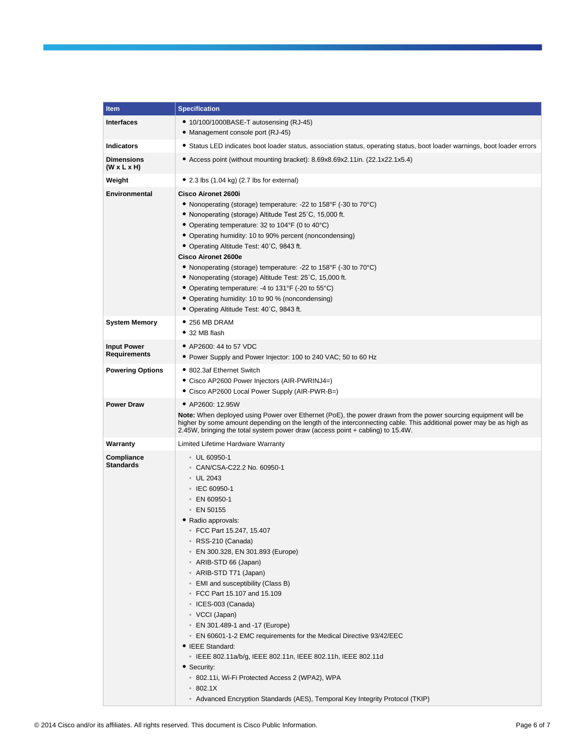| <b>Item</b>                                  | <b>Specification</b>                                                                                                                                                                                                                                                                                                                                                                                                                                                                                                                                                                                                                                                                                                                                                   |
|----------------------------------------------|------------------------------------------------------------------------------------------------------------------------------------------------------------------------------------------------------------------------------------------------------------------------------------------------------------------------------------------------------------------------------------------------------------------------------------------------------------------------------------------------------------------------------------------------------------------------------------------------------------------------------------------------------------------------------------------------------------------------------------------------------------------------|
| <b>Interfaces</b>                            | • 10/100/1000BASE-T autosensing (RJ-45)<br>• Management console port (RJ-45)                                                                                                                                                                                                                                                                                                                                                                                                                                                                                                                                                                                                                                                                                           |
| <b>Indicators</b>                            | • Status LED indicates boot loader status, association status, operating status, boot loader warnings, boot loader errors                                                                                                                                                                                                                                                                                                                                                                                                                                                                                                                                                                                                                                              |
| <b>Dimensions</b><br>$(W \times L \times H)$ | • Access point (without mounting bracket): 8.69x8.69x2.11in. (22.1x22.1x5.4)                                                                                                                                                                                                                                                                                                                                                                                                                                                                                                                                                                                                                                                                                           |
| Weight                                       | $\bullet$ 2.3 lbs (1.04 kg) (2.7 lbs for external)                                                                                                                                                                                                                                                                                                                                                                                                                                                                                                                                                                                                                                                                                                                     |
| <b>Environmental</b>                         | Cisco Aironet 2600i<br>• Nonoperating (storage) temperature: -22 to 158°F (-30 to 70°C)<br>• Nonoperating (storage) Altitude Test 25°C, 15,000 ft.<br>• Operating temperature: 32 to 104°F (0 to 40°C)<br>• Operating humidity: 10 to 90% percent (noncondensing)<br>• Operating Altitude Test: 40°C, 9843 ft.<br><b>Cisco Aironet 2600e</b><br>• Nonoperating (storage) temperature: -22 to 158°F (-30 to 70°C)<br>• Nonoperating (storage) Altitude Test: 25°C, 15,000 ft.<br>• Operating temperature: -4 to 131°F (-20 to 55°C)<br>• Operating humidity: 10 to 90 % (noncondensing)<br>• Operating Altitude Test: 40°C, 9843 ft.                                                                                                                                    |
| <b>System Memory</b>                         | $\bullet$ 256 MB DRAM<br>$\bullet$ 32 MB flash                                                                                                                                                                                                                                                                                                                                                                                                                                                                                                                                                                                                                                                                                                                         |
| <b>Input Power</b><br><b>Requirements</b>    | • AP2600: 44 to 57 VDC<br>• Power Supply and Power Injector: 100 to 240 VAC; 50 to 60 Hz                                                                                                                                                                                                                                                                                                                                                                                                                                                                                                                                                                                                                                                                               |
| <b>Powering Options</b>                      | • 802.3af Ethernet Switch<br>• Cisco AP2600 Power Injectors (AIR-PWRINJ4=)<br>• Cisco AP2600 Local Power Supply (AIR-PWR-B=)                                                                                                                                                                                                                                                                                                                                                                                                                                                                                                                                                                                                                                           |
| <b>Power Draw</b>                            | • AP2600: 12.95W<br>Note: When deployed using Power over Ethernet (PoE), the power drawn from the power sourcing equipment will be<br>higher by some amount depending on the length of the interconnecting cable. This additional power may be as high as<br>2.45W, bringing the total system power draw (access point + cabling) to 15.4W.                                                                                                                                                                                                                                                                                                                                                                                                                            |
| Warranty                                     | Limited Lifetime Hardware Warranty                                                                                                                                                                                                                                                                                                                                                                                                                                                                                                                                                                                                                                                                                                                                     |
| Compliance<br>Standards                      | $\degree$ UL 60950-1<br>○ CAN/CSA-C22.2 No. 60950-1<br>• UL 2043<br>∘ IEC 60950-1<br>$\cdot$ EN 60950-1<br>$\cdot$ EN 50155<br>• Radio approvals:<br>© FCC Part 15.247, 15.407<br>∘ RSS-210 (Canada)<br>○ EN 300.328, EN 301.893 (Europe)<br>• ARIB-STD 66 (Japan)<br>• ARIB-STD T71 (Japan)<br>• EMI and susceptibility (Class B)<br>∘ FCC Part 15.107 and 15.109<br>∘ ICES-003 (Canada)<br>• VCCI (Japan)<br>• EN 301.489-1 and -17 (Europe)<br>∘ EN 60601-1-2 EMC requirements for the Medical Directive 93/42/EEC<br>• IEEE Standard:<br>∘ IEEE 802.11a/b/g, IEEE 802.11n, IEEE 802.11h, IEEE 802.11d<br>• Security:<br>○ 802.11i, Wi-Fi Protected Access 2 (WPA2), WPA<br>802.1X<br>• Advanced Encryption Standards (AES), Temporal Key Integrity Protocol (TKIP) |